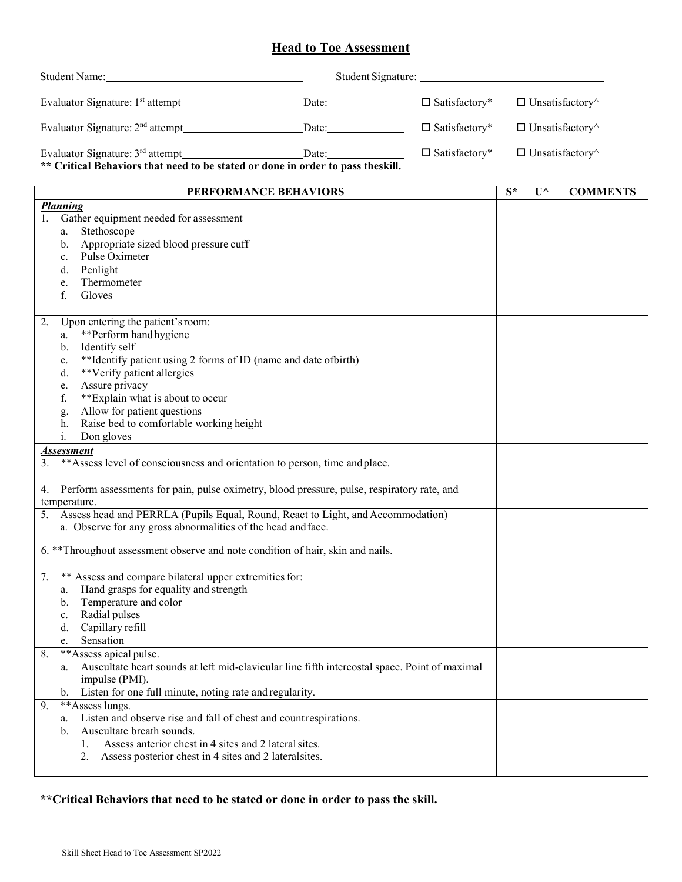## **Head to Toe Assessment**

| <b>Student Name:</b>                                                                                                  | Student Signature: |                      |                               |
|-----------------------------------------------------------------------------------------------------------------------|--------------------|----------------------|-------------------------------|
| Evaluator Signature: 1 <sup>st</sup> attempt                                                                          | Date:              | $\Box$ Satisfactory* | $\Box$ Unsatisfactory $\land$ |
| Evaluator Signature: $2nd$ attempt                                                                                    | Date:              | $\Box$ Satisfactory* | $\Box$ Unsatisfactory $\land$ |
| Evaluator Signature: $3rd$ attempt<br>** Critical Behaviors that need to be stated or done in order to pass theskill. | Date:              | $\Box$ Satisfactory* | $\Box$ Unsatisfactory $\land$ |

| PERFORMANCE BEHAVIORS                                                                               | $S^*$ | $\mathbf{U}^{\wedge}$ | <b>COMMENTS</b> |
|-----------------------------------------------------------------------------------------------------|-------|-----------------------|-----------------|
| <b>Planning</b>                                                                                     |       |                       |                 |
| 1.<br>Gather equipment needed for assessment                                                        |       |                       |                 |
| Stethoscope<br>a.                                                                                   |       |                       |                 |
| Appropriate sized blood pressure cuff<br>b.                                                         |       |                       |                 |
| Pulse Oximeter<br>$c_{\cdot}$                                                                       |       |                       |                 |
| Penlight<br>d.                                                                                      |       |                       |                 |
| Thermometer<br>e.                                                                                   |       |                       |                 |
| f.<br>Gloves                                                                                        |       |                       |                 |
|                                                                                                     |       |                       |                 |
| Upon entering the patient's room:<br>2.                                                             |       |                       |                 |
| **Perform hand hygiene<br>a.                                                                        |       |                       |                 |
| Identify self<br>b.                                                                                 |       |                       |                 |
| **Identify patient using 2 forms of ID (name and date ofbirth)<br>c.                                |       |                       |                 |
| **Verify patient allergies<br>d.                                                                    |       |                       |                 |
| Assure privacy<br>e.                                                                                |       |                       |                 |
| f.<br>** Explain what is about to occur                                                             |       |                       |                 |
| Allow for patient questions                                                                         |       |                       |                 |
| g.<br>Raise bed to comfortable working height<br>h.                                                 |       |                       |                 |
| i.<br>Don gloves                                                                                    |       |                       |                 |
| <b>Assessment</b>                                                                                   |       |                       |                 |
| ** Assess level of consciousness and orientation to person, time and place.                         |       |                       |                 |
|                                                                                                     |       |                       |                 |
| Perform assessments for pain, pulse oximetry, blood pressure, pulse, respiratory rate, and          |       |                       |                 |
| 4.                                                                                                  |       |                       |                 |
| temperature.<br>Assess head and PERRLA (Pupils Equal, Round, React to Light, and Accommodation)     |       |                       |                 |
| 5.<br>a. Observe for any gross abnormalities of the head and face.                                  |       |                       |                 |
|                                                                                                     |       |                       |                 |
| 6. ** Throughout assessment observe and note condition of hair, skin and nails.                     |       |                       |                 |
|                                                                                                     |       |                       |                 |
| ** Assess and compare bilateral upper extremities for:<br>7.                                        |       |                       |                 |
| Hand grasps for equality and strength<br>a.                                                         |       |                       |                 |
| Temperature and color<br>b.                                                                         |       |                       |                 |
| Radial pulses<br>$c_{\cdot}$                                                                        |       |                       |                 |
| d. Capillary refill                                                                                 |       |                       |                 |
| Sensation<br>e.                                                                                     |       |                       |                 |
| **Assess apical pulse.<br>8.                                                                        |       |                       |                 |
| Auscultate heart sounds at left mid-clavicular line fifth intercostal space. Point of maximal<br>a. |       |                       |                 |
| impulse (PMI).                                                                                      |       |                       |                 |
| Listen for one full minute, noting rate and regularity.<br>b.                                       |       |                       |                 |
| **Assess lungs.<br>9.                                                                               |       |                       |                 |
| Listen and observe rise and fall of chest and countrespirations.                                    |       |                       |                 |
| a.<br>Auscultate breath sounds.<br>$\mathbf{b}$ .                                                   |       |                       |                 |
| Assess anterior chest in 4 sites and 2 lateral sites.                                               |       |                       |                 |
| 1.<br>Assess posterior chest in 4 sites and 2 lateral sites.<br>2.                                  |       |                       |                 |
|                                                                                                     |       |                       |                 |
|                                                                                                     |       |                       |                 |

**\*\*Critical Behaviors that need to be stated or done in order to pass the skill.**